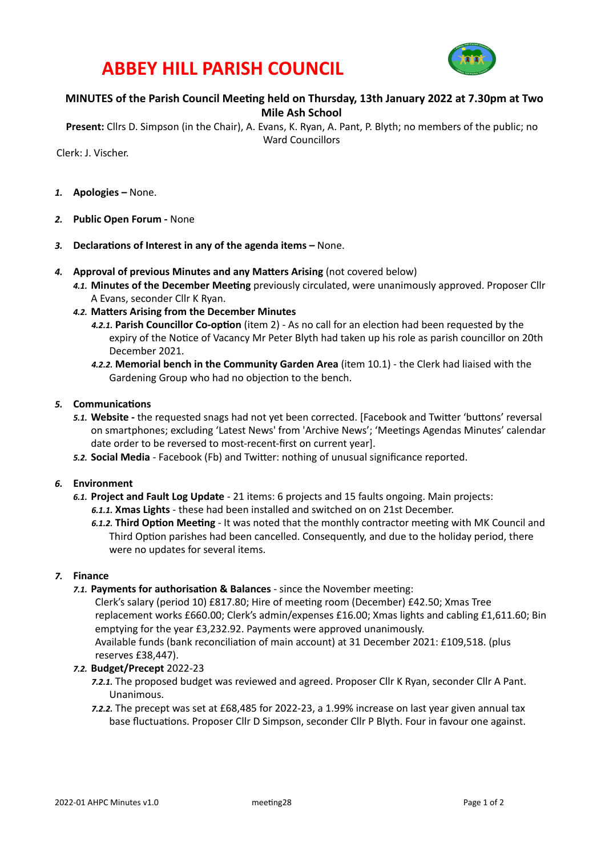# **ABBEY HILL PARISH COUNCIL**



## **MINUTES** of the Parish Council Meeting held on Thursday, 13th January 2022 at 7.30pm at Two **Mile Ash School**

**Present:** Cllrs D. Simpson (in the Chair), A. Evans, K. Ryan, A. Pant, P. Blyth; no members of the public; no Ward Councillors

Clerk: J. Vischer. 

- 1. **Apologies** None.
- 2. **Public Open Forum None**
- 3. **Declarations of Interest in any of the agenda items –** None.
- 4. **Approval of previous Minutes and any Matters Arising** (not covered below)
	- 4.1. Minutes of the December Meeting previously circulated, were unanimously approved. Proposer Cllr A Evans, seconder Cllr K Ryan.
	- 4.2. Matters Arising from the December Minutes
		- **4.2.1. Parish Councillor Co-option** (item 2) As no call for an election had been requested by the expiry of the Notice of Vacancy Mr Peter Blyth had taken up his role as parish councillor on 20th December 2021.
		- **4.2.2. Memorial bench in the Community Garden Area** (item 10.1) the Clerk had liaised with the Gardening Group who had no objection to the bench.

#### **5.** Communications

- 5.1. Website the requested snags had not yet been corrected. [Facebook and Twitter 'buttons' reversal on smartphones; excluding 'Latest News' from 'Archive News'; 'Meetings Agendas Minutes' calendar date order to be reversed to most-recent-first on current year].
- **5.2. Social Media** Facebook (Fb) and Twitter: nothing of unusual significance reported.
- *6.* **Environment** 
	- 6.1. Project and Fault Log Update 21 items: 6 projects and 15 faults ongoing. Main projects: **6.1.1. Xmas Lights** - these had been installed and switched on on 21st December.
		- 6.1.2. Third Option Meeting It was noted that the monthly contractor meeting with MK Council and Third Option parishes had been cancelled. Consequently, and due to the holiday period, there were no updates for several items.

### *7.* **Finance**

**7.1. Payments for authorisation & Balances** - since the November meeting:

Clerk's salary (period 10) £817.80; Hire of meeting room (December) £42.50; Xmas Tree replacement works £660.00; Clerk's admin/expenses £16.00; Xmas lights and cabling £1,611.60; Bin emptying for the year £3,232.92. Payments were approved unanimously. Available funds (bank reconciliation of main account) at 31 December 2021: £109,518. (plus reserves £38.447).

#### *7.2.* **Budget/Precept** 2022-23

- 7.2.1. The proposed budget was reviewed and agreed. Proposer Cllr K Ryan, seconder Cllr A Pant. Unanimous.
- *7.2.2.* The precept was set at £68,485 for 2022-23, a 1.99% increase on last year given annual tax base fluctuations. Proposer Cllr D Simpson, seconder Cllr P Blyth. Four in favour one against.